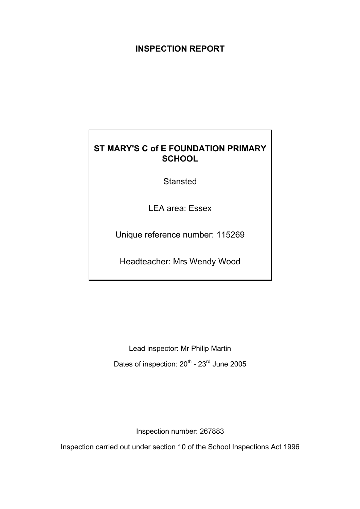# **INSPECTION REPORT**

# **ST MARY'S C of E FOUNDATION PRIMARY SCHOOL**

**Stansted** 

LEA area: Essex

Unique reference number: 115269

Headteacher: Mrs Wendy Wood

Lead inspector: Mr Philip Martin Dates of inspection: 20<sup>th</sup> - 23<sup>rd</sup> June 2005

Inspection number: 267883

Inspection carried out under section 10 of the School Inspections Act 1996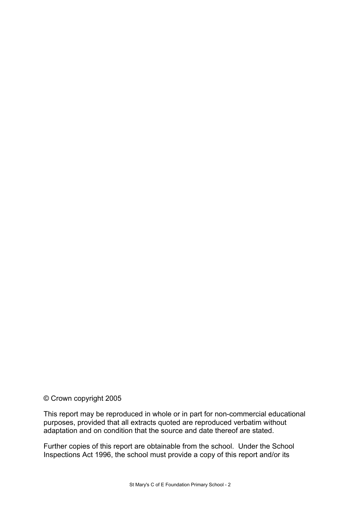© Crown copyright 2005

This report may be reproduced in whole or in part for non-commercial educational purposes, provided that all extracts quoted are reproduced verbatim without adaptation and on condition that the source and date thereof are stated.

Further copies of this report are obtainable from the school. Under the School Inspections Act 1996, the school must provide a copy of this report and/or its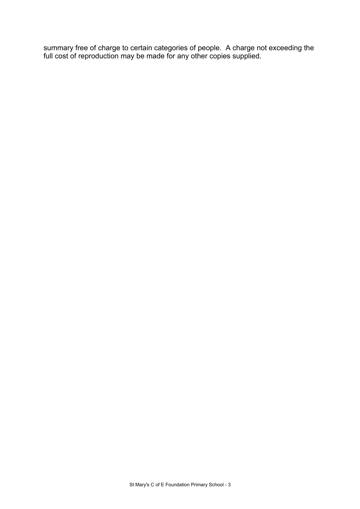summary free of charge to certain categories of people. A charge not exceeding the full cost of reproduction may be made for any other copies supplied.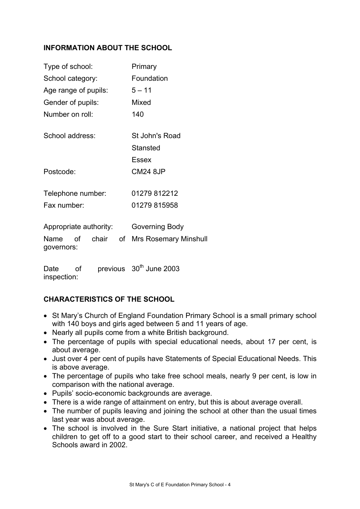# **INFORMATION ABOUT THE SCHOOL**

| Type of school:                   |    | Primary                      |
|-----------------------------------|----|------------------------------|
| School category:                  |    | Foundation                   |
| Age range of pupils:              |    | $5 - 11$                     |
| Gender of pupils:                 |    | Mixed                        |
| Number on roll:                   |    | 140                          |
| School address:                   |    | St John's Road               |
|                                   |    | Stansted                     |
|                                   |    | Essex                        |
| Postcode:                         |    | <b>CM24 8JP</b>              |
| Telephone number:                 |    | 01279 812212                 |
| Fax number:                       |    | 01279 815958                 |
| Appropriate authority:            |    | Governing Body               |
| chair<br>Name<br>of<br>governors: | of | <b>Mrs Rosemary Minshull</b> |
|                                   |    |                              |

Date of previous 30<sup>th</sup> June 2003 inspection:

# **CHARACTERISTICS OF THE SCHOOL**

- St Mary's Church of England Foundation Primary School is a small primary school with 140 boys and girls aged between 5 and 11 years of age.
- Nearly all pupils come from a white British background.
- The percentage of pupils with special educational needs, about 17 per cent, is about average.
- Just over 4 per cent of pupils have Statements of Special Educational Needs. This is above average.
- The percentage of pupils who take free school meals, nearly 9 per cent, is low in comparison with the national average.
- Pupils' socio-economic backgrounds are average.
- There is a wide range of attainment on entry, but this is about average overall.
- The number of pupils leaving and joining the school at other than the usual times last year was about average.
- The school is involved in the Sure Start initiative, a national project that helps children to get off to a good start to their school career, and received a Healthy Schools award in 2002.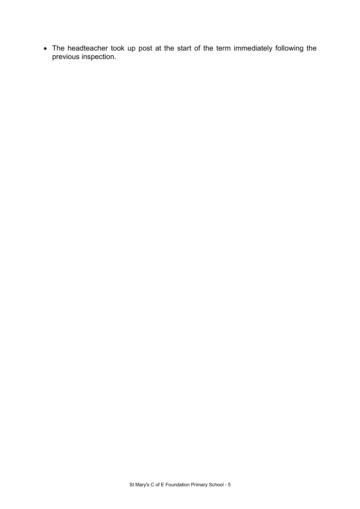• The headteacher took up post at the start of the term immediately following the previous inspection.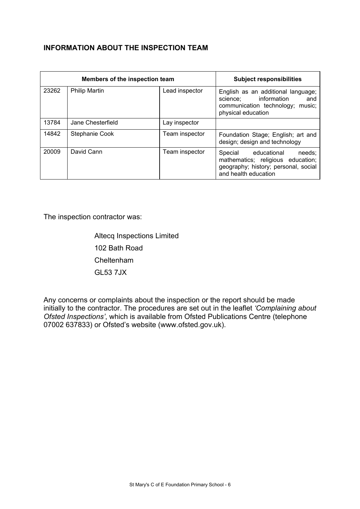# **INFORMATION ABOUT THE INSPECTION TEAM**

| Members of the inspection team |                      |                | <b>Subject responsibilities</b>                                                                                                    |
|--------------------------------|----------------------|----------------|------------------------------------------------------------------------------------------------------------------------------------|
| 23262                          | <b>Philip Martin</b> | Lead inspector | English as an additional language;<br>science; information and<br>communication technology; music;<br>physical education           |
| 13784                          | Jane Chesterfield    | Lay inspector  |                                                                                                                                    |
| 14842                          | Stephanie Cook       | Team inspector | Foundation Stage; English; art and<br>design; design and technology                                                                |
| 20009                          | David Cann           | Team inspector | Special educational<br>needs;<br>mathematics; religious education;<br>geography; history; personal, social<br>and health education |

The inspection contractor was:

 Altecq Inspections Limited 102 Bath Road Cheltenham GL53 7JX

Any concerns or complaints about the inspection or the report should be made initially to the contractor. The procedures are set out in the leaflet *'Complaining about Ofsted Inspections'*, which is available from Ofsted Publications Centre (telephone 07002 637833) or Ofsted's website (www.ofsted.gov.uk).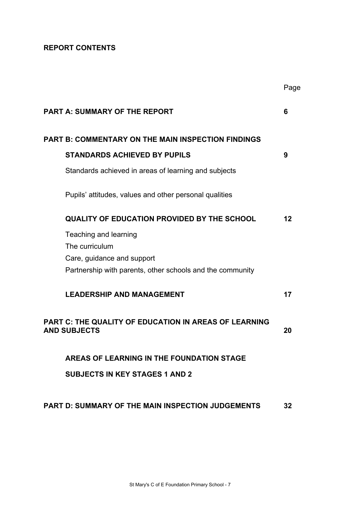# **REPORT CONTENTS**

|                                                                                         | Page |
|-----------------------------------------------------------------------------------------|------|
| <b>PART A: SUMMARY OF THE REPORT</b>                                                    | 6    |
| <b>PART B: COMMENTARY ON THE MAIN INSPECTION FINDINGS</b>                               |      |
| <b>STANDARDS ACHIEVED BY PUPILS</b>                                                     | 9    |
| Standards achieved in areas of learning and subjects                                    |      |
| Pupils' attitudes, values and other personal qualities                                  |      |
| <b>QUALITY OF EDUCATION PROVIDED BY THE SCHOOL</b>                                      | 12   |
| Teaching and learning                                                                   |      |
| The curriculum                                                                          |      |
| Care, guidance and support<br>Partnership with parents, other schools and the community |      |
| <b>LEADERSHIP AND MANAGEMENT</b>                                                        | 17   |
| <b>PART C: THE QUALITY OF EDUCATION IN AREAS OF LEARNING</b><br><b>AND SUBJECTS</b>     | 20   |
| AREAS OF LEARNING IN THE FOUNDATION STAGE                                               |      |
| <b>SUBJECTS IN KEY STAGES 1 AND 2</b>                                                   |      |
| <b>PART D: SUMMARY OF THE MAIN INSPECTION JUDGEMENTS</b>                                | 32   |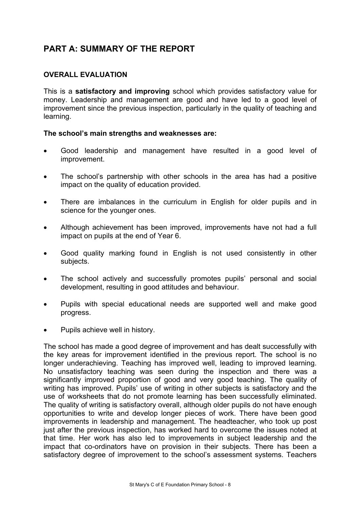# **PART A: SUMMARY OF THE REPORT**

## **OVERALL EVALUATION**

This is a **satisfactory and improving** school which provides satisfactory value for money. Leadership and management are good and have led to a good level of improvement since the previous inspection, particularly in the quality of teaching and learning.

#### **The school's main strengths and weaknesses are:**

- Good leadership and management have resulted in a good level of improvement.
- The school's partnership with other schools in the area has had a positive impact on the quality of education provided.
- There are imbalances in the curriculum in English for older pupils and in science for the younger ones.
- Although achievement has been improved, improvements have not had a full impact on pupils at the end of Year 6.
- Good quality marking found in English is not used consistently in other subjects.
- The school actively and successfully promotes pupils' personal and social development, resulting in good attitudes and behaviour.
- Pupils with special educational needs are supported well and make good progress.
- Pupils achieve well in history.

The school has made a good degree of improvement and has dealt successfully with the key areas for improvement identified in the previous report. The school is no longer underachieving. Teaching has improved well, leading to improved learning. No unsatisfactory teaching was seen during the inspection and there was a significantly improved proportion of good and very good teaching. The quality of writing has improved. Pupils' use of writing in other subjects is satisfactory and the use of worksheets that do not promote learning has been successfully eliminated. The quality of writing is satisfactory overall, although older pupils do not have enough opportunities to write and develop longer pieces of work. There have been good improvements in leadership and management. The headteacher, who took up post just after the previous inspection, has worked hard to overcome the issues noted at that time. Her work has also led to improvements in subject leadership and the impact that co-ordinators have on provision in their subjects. There has been a satisfactory degree of improvement to the school's assessment systems. Teachers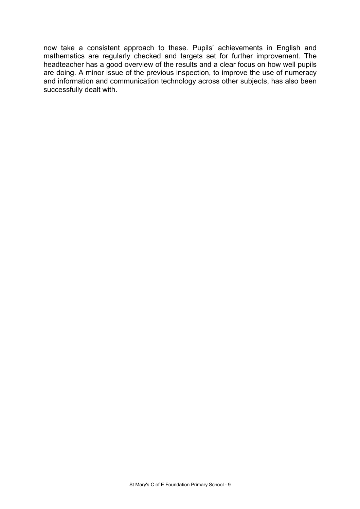now take a consistent approach to these. Pupils' achievements in English and mathematics are regularly checked and targets set for further improvement. The headteacher has a good overview of the results and a clear focus on how well pupils are doing. A minor issue of the previous inspection, to improve the use of numeracy and information and communication technology across other subjects, has also been successfully dealt with.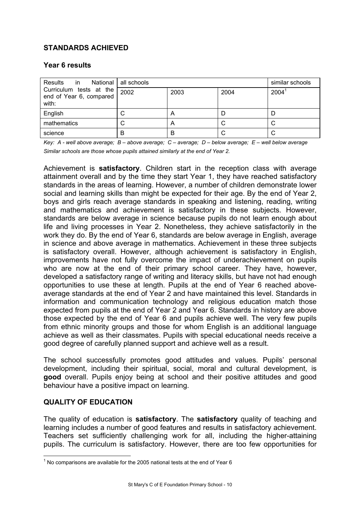# **STANDARDS ACHIEVED**

#### **Year 6 results**

| Results in National all schools                             |      | similar schools           |      |      |
|-------------------------------------------------------------|------|---------------------------|------|------|
| Curriculum tests at the<br>end of Year 6, compared<br>with: | 2002 | 2003                      | 2004 | 2004 |
| English                                                     |      | A                         |      |      |
| mathematics                                                 |      | $\boldsymbol{\mathsf{A}}$ |      |      |
| science                                                     | B    | В                         | U    |      |

*Key: A - well above average; B – above average; C – average; D – below average; E – well below average Similar schools are those whose pupils attained similarly at the end of Year 2.* 

Achievement is **satisfactory**. Children start in the reception class with average attainment overall and by the time they start Year 1, they have reached satisfactory standards in the areas of learning. However, a number of children demonstrate lower social and learning skills than might be expected for their age. By the end of Year 2, boys and girls reach average standards in speaking and listening, reading, writing and mathematics and achievement is satisfactory in these subjects. However, standards are below average in science because pupils do not learn enough about life and living processes in Year 2. Nonetheless, they achieve satisfactorily in the work they do. By the end of Year 6, standards are below average in English, average in science and above average in mathematics. Achievement in these three subjects is satisfactory overall. However, although achievement is satisfactory in English, improvements have not fully overcome the impact of underachievement on pupils who are now at the end of their primary school career. They have, however, developed a satisfactory range of writing and literacy skills, but have not had enough opportunities to use these at length. Pupils at the end of Year 6 reached aboveaverage standards at the end of Year 2 and have maintained this level. Standards in information and communication technology and religious education match those expected from pupils at the end of Year 2 and Year 6. Standards in history are above those expected by the end of Year 6 and pupils achieve well. The very few pupils from ethnic minority groups and those for whom English is an additional language achieve as well as their classmates. Pupils with special educational needs receive a good degree of carefully planned support and achieve well as a result.

The school successfully promotes good attitudes and values. Pupils' personal development, including their spiritual, social, moral and cultural development, is **good** overall. Pupils enjoy being at school and their positive attitudes and good behaviour have a positive impact on learning.

#### **QUALITY OF EDUCATION**

The quality of education is **satisfactory**. The **satisfactory** quality of teaching and learning includes a number of good features and results in satisfactory achievement. Teachers set sufficiently challenging work for all, including the higher-attaining pupils. The curriculum is satisfactory. However, there are too few opportunities for

The comparisons are available for the 2005 national tests at the end of Year 6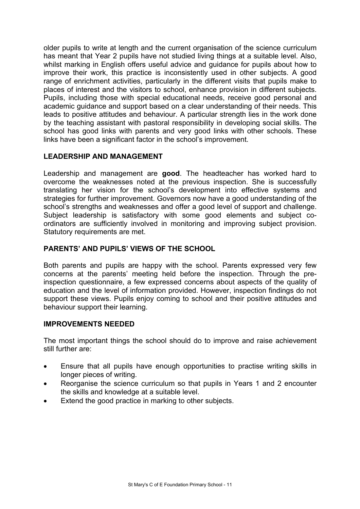older pupils to write at length and the current organisation of the science curriculum has meant that Year 2 pupils have not studied living things at a suitable level. Also, whilst marking in English offers useful advice and guidance for pupils about how to improve their work, this practice is inconsistently used in other subjects. A good range of enrichment activities, particularly in the different visits that pupils make to places of interest and the visitors to school, enhance provision in different subjects. Pupils, including those with special educational needs, receive good personal and academic guidance and support based on a clear understanding of their needs. This leads to positive attitudes and behaviour. A particular strength lies in the work done by the teaching assistant with pastoral responsibility in developing social skills. The school has good links with parents and very good links with other schools. These links have been a significant factor in the school's improvement.

## **LEADERSHIP AND MANAGEMENT**

Leadership and management are **good**. The headteacher has worked hard to overcome the weaknesses noted at the previous inspection. She is successfully translating her vision for the school's development into effective systems and strategies for further improvement. Governors now have a good understanding of the school's strengths and weaknesses and offer a good level of support and challenge. Subject leadership is satisfactory with some good elements and subject coordinators are sufficiently involved in monitoring and improving subject provision. Statutory requirements are met.

## **PARENTS' AND PUPILS' VIEWS OF THE SCHOOL**

Both parents and pupils are happy with the school. Parents expressed very few concerns at the parents' meeting held before the inspection. Through the preinspection questionnaire, a few expressed concerns about aspects of the quality of education and the level of information provided. However, inspection findings do not support these views. Pupils enjoy coming to school and their positive attitudes and behaviour support their learning.

#### **IMPROVEMENTS NEEDED**

The most important things the school should do to improve and raise achievement still further are:

- Ensure that all pupils have enough opportunities to practise writing skills in longer pieces of writing.
- Reorganise the science curriculum so that pupils in Years 1 and 2 encounter the skills and knowledge at a suitable level.
- Extend the good practice in marking to other subjects.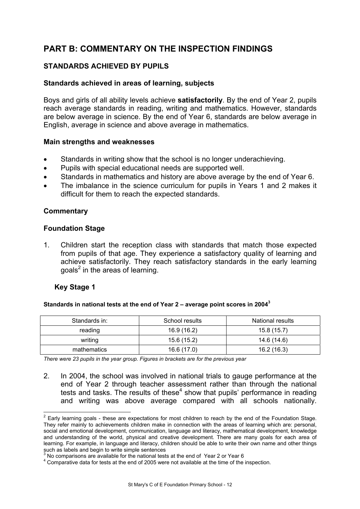# **PART B: COMMENTARY ON THE INSPECTION FINDINGS**

# **STANDARDS ACHIEVED BY PUPILS**

#### **Standards achieved in areas of learning, subjects**

Boys and girls of all ability levels achieve **satisfactorily**. By the end of Year 2, pupils reach average standards in reading, writing and mathematics. However, standards are below average in science. By the end of Year 6, standards are below average in English, average in science and above average in mathematics.

#### **Main strengths and weaknesses**

- Standards in writing show that the school is no longer underachieving.
- Pupils with special educational needs are supported well.
- Standards in mathematics and history are above average by the end of Year 6.
- The imbalance in the science curriculum for pupils in Years 1 and 2 makes it difficult for them to reach the expected standards.

#### **Commentary**

#### **Foundation Stage**

1. Children start the reception class with standards that match those expected from pupils of that age. They experience a satisfactory quality of learning and achieve satisfactorily. They reach satisfactory standards in the early learning goals<sup>2</sup> in the areas of learning.

#### **Key Stage 1**

#### **Standards in national tests at the end of Year 2 – average point scores in 2004<sup>3</sup>**

| Standards in: | School results | National results |
|---------------|----------------|------------------|
| reading       | 16.9 (16.2)    | 15.8(15.7)       |
| writing       | 15.6 (15.2)    | 14.6 (14.6)      |
| mathematics   | 16.6 (17.0)    | 16.2(16.3)       |

*There were 23 pupils in the year group. Figures in brackets are for the previous year* 

2. In 2004, the school was involved in national trials to gauge performance at the end of Year 2 through teacher assessment rather than through the national tests and tasks. The results of these $4$  show that pupils' performance in reading and writing was above average compared with all schools nationally.

**EXECTS 2**<br><sup>2</sup> Early learning goals - these are expectations for most children to reach by the end of the Foundation Stage. They refer mainly to achievements children make in connection with the areas of learning which are: personal, social and emotional development, communication, language and literacy, mathematical development, knowledge and understanding of the world, physical and creative development. There are many goals for each area of learning. For example, in language and literacy, children should be able to write their own name and other things such as labels and begin to write simple sentences<br>3 Ne comparisons are quailable for the national tests

No comparisons are available for the national tests at the end of Year 2 or Year 6

Comparative data for tests at the end of 2005 were not available at the time of the inspection.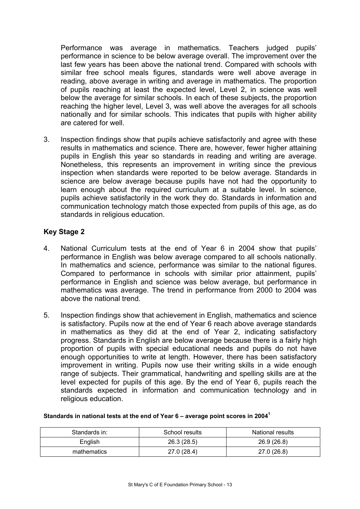Performance was average in mathematics. Teachers judged pupils' performance in science to be below average overall. The improvement over the last few years has been above the national trend. Compared with schools with similar free school meals figures, standards were well above average in reading, above average in writing and average in mathematics. The proportion of pupils reaching at least the expected level, Level 2, in science was well below the average for similar schools. In each of these subjects, the proportion reaching the higher level, Level 3, was well above the averages for all schools nationally and for similar schools. This indicates that pupils with higher ability are catered for well.

3. Inspection findings show that pupils achieve satisfactorily and agree with these results in mathematics and science. There are, however, fewer higher attaining pupils in English this year so standards in reading and writing are average. Nonetheless, this represents an improvement in writing since the previous inspection when standards were reported to be below average. Standards in science are below average because pupils have not had the opportunity to learn enough about the required curriculum at a suitable level. In science, pupils achieve satisfactorily in the work they do. Standards in information and communication technology match those expected from pupils of this age, as do standards in religious education.

## **Key Stage 2**

- 4. National Curriculum tests at the end of Year 6 in 2004 show that pupils' performance in English was below average compared to all schools nationally. In mathematics and science, performance was similar to the national figures. Compared to performance in schools with similar prior attainment, pupils' performance in English and science was below average, but performance in mathematics was average. The trend in performance from 2000 to 2004 was above the national trend.
- 5. Inspection findings show that achievement in English, mathematics and science is satisfactory. Pupils now at the end of Year 6 reach above average standards in mathematics as they did at the end of Year 2, indicating satisfactory progress. Standards in English are below average because there is a fairly high proportion of pupils with special educational needs and pupils do not have enough opportunities to write at length. However, there has been satisfactory improvement in writing. Pupils now use their writing skills in a wide enough range of subjects. Their grammatical, handwriting and spelling skills are at the level expected for pupils of this age. By the end of Year 6, pupils reach the standards expected in information and communication technology and in religious education.

| Standards in: | School results | National results |
|---------------|----------------|------------------|
| English       | 26.3 (28.5)    | 26.9 (26.8)      |
| mathematics   | 27.0 (28.4)    | 27.0 (26.8)      |

#### **Standards in national tests at the end of Year 6 – average point scores in 2004<sup>1</sup>**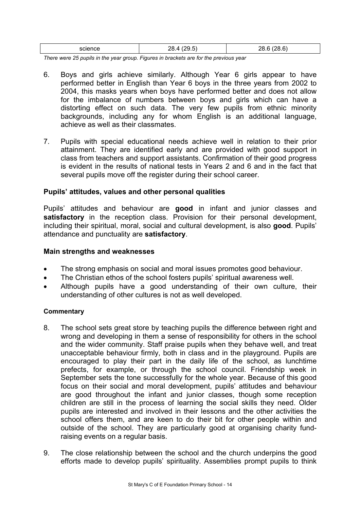| science -<br>. | ه د<br>$  -$<br>____ | $\sim$<br><br>$-$ |
|----------------|----------------------|-------------------|
|                |                      |                   |

*There were 25 pupils in the year group. Figures in brackets are for the previous year* 

- 6. Boys and girls achieve similarly. Although Year 6 girls appear to have performed better in English than Year 6 boys in the three years from 2002 to 2004, this masks years when boys have performed better and does not allow for the imbalance of numbers between boys and girls which can have a distorting effect on such data. The very few pupils from ethnic minority backgrounds, including any for whom English is an additional language, achieve as well as their classmates.
- 7. Pupils with special educational needs achieve well in relation to their prior attainment. They are identified early and are provided with good support in class from teachers and support assistants. Confirmation of their good progress is evident in the results of national tests in Years 2 and 6 and in the fact that several pupils move off the register during their school career.

#### **Pupils' attitudes, values and other personal qualities**

Pupils' attitudes and behaviour are **good** in infant and junior classes and satisfactory in the reception class. Provision for their personal development, including their spiritual, moral, social and cultural development, is also **good**. Pupils' attendance and punctuality are **satisfactory**.

#### **Main strengths and weaknesses**

- The strong emphasis on social and moral issues promotes good behaviour.
- The Christian ethos of the school fosters pupils' spiritual awareness well.
- Although pupils have a good understanding of their own culture, their understanding of other cultures is not as well developed.

- 8. The school sets great store by teaching pupils the difference between right and wrong and developing in them a sense of responsibility for others in the school and the wider community. Staff praise pupils when they behave well, and treat unacceptable behaviour firmly, both in class and in the playground. Pupils are encouraged to play their part in the daily life of the school, as lunchtime prefects, for example, or through the school council. Friendship week in September sets the tone successfully for the whole year. Because of this good focus on their social and moral development, pupils' attitudes and behaviour are good throughout the infant and junior classes, though some reception children are still in the process of learning the social skills they need. Older pupils are interested and involved in their lessons and the other activities the school offers them, and are keen to do their bit for other people within and outside of the school. They are particularly good at organising charity fundraising events on a regular basis.
- 9. The close relationship between the school and the church underpins the good efforts made to develop pupils' spirituality. Assemblies prompt pupils to think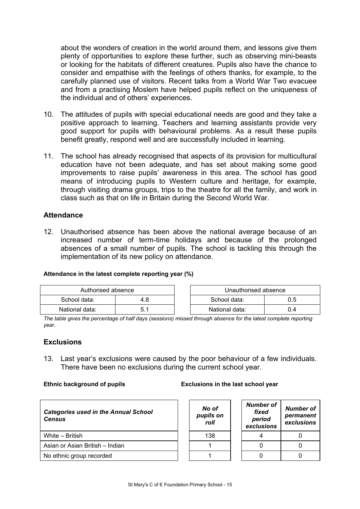about the wonders of creation in the world around them, and lessons give them plenty of opportunities to explore these further, such as observing mini-beasts or looking for the habitats of different creatures. Pupils also have the chance to consider and empathise with the feelings of others thanks, for example, to the carefully planned use of visitors. Recent talks from a World War Two evacuee and from a practising Moslem have helped pupils reflect on the uniqueness of the individual and of others' experiences.

- 10. The attitudes of pupils with special educational needs are good and they take a positive approach to learning. Teachers and learning assistants provide very good support for pupils with behavioural problems. As a result these pupils benefit greatly, respond well and are successfully included in learning.
- 11. The school has already recognised that aspects of its provision for multicultural education have not been adequate, and has set about making some good improvements to raise pupils' awareness in this area. The school has good means of introducing pupils to Western culture and heritage, for example, through visiting drama groups, trips to the theatre for all the family, and work in class such as that on life in Britain during the Second World War.

#### **Attendance**

12. Unauthorised absence has been above the national average because of an increased number of term-time holidays and because of the prolonged absences of a small number of pupils. The school is tackling this through the implementation of its new policy on attendance.

#### **Attendance in the latest complete reporting year (%)**

| Authorised absence |     | Unauthorised absence |     |
|--------------------|-----|----------------------|-----|
| School data:       | 4.8 | School data:         | 0.5 |
| National data:     |     | National data:       | 0.4 |

*The table gives the percentage of half days (sessions) missed through absence for the latest complete reporting year.* 

#### **Exclusions**

13. Last year's exclusions were caused by the poor behaviour of a few individuals. There have been no exclusions during the current school year.

| <b>Categories used in the Annual School</b><br><b>Census</b> |  | No of<br>pupils on<br>roll | <b>Number of</b><br>fixed<br>period<br>exclusions | Numbe<br>perma<br>exclus |  |
|--------------------------------------------------------------|--|----------------------------|---------------------------------------------------|--------------------------|--|
| White - British                                              |  | 138                        |                                                   |                          |  |
| Asian or Asian British - Indian                              |  |                            |                                                   |                          |  |
| No ethnic group recorded                                     |  |                            |                                                   |                          |  |

#### **Ethnic background of pupils Exclusions in the last school year**

| No of<br>pupils on<br>roll | Number of<br>fixed<br>period<br>exclusions | Number of<br>permanent<br>exclusions |
|----------------------------|--------------------------------------------|--------------------------------------|
| 138                        |                                            |                                      |
|                            |                                            |                                      |
|                            |                                            |                                      |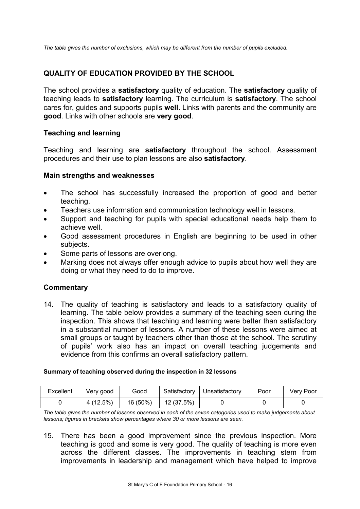*The table gives the number of exclusions, which may be different from the number of pupils excluded.* 

## **QUALITY OF EDUCATION PROVIDED BY THE SCHOOL**

The school provides a **satisfactory** quality of education. The **satisfactory** quality of teaching leads to **satisfactory** learning. The curriculum is **satisfactory**. The school cares for, guides and supports pupils **well**. Links with parents and the community are **good**. Links with other schools are **very good**.

#### **Teaching and learning**

Teaching and learning are **satisfactory** throughout the school. Assessment procedures and their use to plan lessons are also **satisfactory**.

#### **Main strengths and weaknesses**

- The school has successfully increased the proportion of good and better teaching.
- Teachers use information and communication technology well in lessons.
- Support and teaching for pupils with special educational needs help them to achieve well.
- Good assessment procedures in English are beginning to be used in other subjects.
- Some parts of lessons are overlong.
- Marking does not always offer enough advice to pupils about how well they are doing or what they need to do to improve.

#### **Commentary**

14. The quality of teaching is satisfactory and leads to a satisfactory quality of learning. The table below provides a summary of the teaching seen during the inspection. This shows that teaching and learning were better than satisfactory in a substantial number of lessons. A number of these lessons were aimed at small groups or taught by teachers other than those at the school. The scrutiny of pupils' work also has an impact on overall teaching judgements and evidence from this confirms an overall satisfactory pattern.

#### **Summary of teaching observed during the inspection in 32 lessons**

| Excellent | Verv good | Good     | Satisfactory | Unsatisfactory | Poor | Very Poor |
|-----------|-----------|----------|--------------|----------------|------|-----------|
|           | 4 (12.5%) | 16 (50%) | 12 (37.5%)   |                |      |           |

*The table gives the number of lessons observed in each of the seven categories used to make judgements about lessons; figures in brackets show percentages where 30 or more lessons are seen.* 

15. There has been a good improvement since the previous inspection. More teaching is good and some is very good. The quality of teaching is more even across the different classes. The improvements in teaching stem from improvements in leadership and management which have helped to improve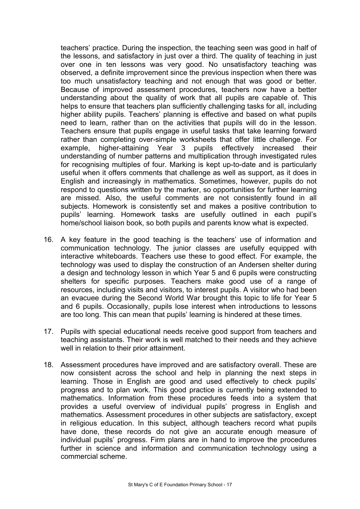teachers' practice. During the inspection, the teaching seen was good in half of the lessons, and satisfactory in just over a third. The quality of teaching in just over one in ten lessons was very good. No unsatisfactory teaching was observed, a definite improvement since the previous inspection when there was too much unsatisfactory teaching and not enough that was good or better. Because of improved assessment procedures, teachers now have a better understanding about the quality of work that all pupils are capable of. This helps to ensure that teachers plan sufficiently challenging tasks for all, including higher ability pupils. Teachers' planning is effective and based on what pupils need to learn, rather than on the activities that pupils will do in the lesson. Teachers ensure that pupils engage in useful tasks that take learning forward rather than completing over-simple worksheets that offer little challenge. For example, higher-attaining Year 3 pupils effectively increased their understanding of number patterns and multiplication through investigated rules for recognising multiples of four. Marking is kept up-to-date and is particularly useful when it offers comments that challenge as well as support, as it does in English and increasingly in mathematics. Sometimes, however, pupils do not respond to questions written by the marker, so opportunities for further learning are missed. Also, the useful comments are not consistently found in all subjects. Homework is consistently set and makes a positive contribution to pupils' learning. Homework tasks are usefully outlined in each pupil's home/school liaison book, so both pupils and parents know what is expected.

- 16. A key feature in the good teaching is the teachers' use of information and communication technology. The junior classes are usefully equipped with interactive whiteboards. Teachers use these to good effect. For example, the technology was used to display the construction of an Andersen shelter during a design and technology lesson in which Year 5 and 6 pupils were constructing shelters for specific purposes. Teachers make good use of a range of resources, including visits and visitors, to interest pupils. A visitor who had been an evacuee during the Second World War brought this topic to life for Year 5 and 6 pupils. Occasionally, pupils lose interest when introductions to lessons are too long. This can mean that pupils' learning is hindered at these times.
- 17. Pupils with special educational needs receive good support from teachers and teaching assistants. Their work is well matched to their needs and they achieve well in relation to their prior attainment.
- 18. Assessment procedures have improved and are satisfactory overall. These are now consistent across the school and help in planning the next steps in learning. Those in English are good and used effectively to check pupils' progress and to plan work. This good practice is currently being extended to mathematics. Information from these procedures feeds into a system that provides a useful overview of individual pupils' progress in English and mathematics. Assessment procedures in other subjects are satisfactory, except in religious education. In this subject, although teachers record what pupils have done, these records do not give an accurate enough measure of individual pupils' progress. Firm plans are in hand to improve the procedures further in science and information and communication technology using a commercial scheme.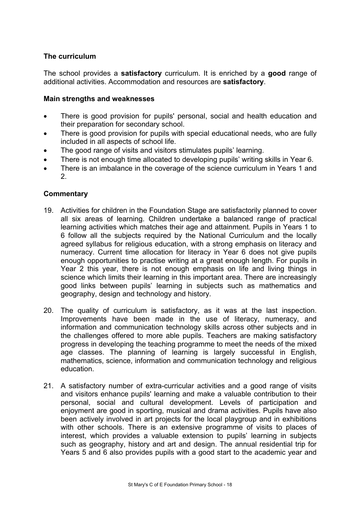## **The curriculum**

The school provides a **satisfactory** curriculum. It is enriched by a **good** range of additional activities. Accommodation and resources are **satisfactory**.

#### **Main strengths and weaknesses**

- There is good provision for pupils' personal, social and health education and their preparation for secondary school.
- There is good provision for pupils with special educational needs, who are fully included in all aspects of school life.
- The good range of visits and visitors stimulates pupils' learning.
- There is not enough time allocated to developing pupils' writing skills in Year 6.
- There is an imbalance in the coverage of the science curriculum in Years 1 and 2.

- 19. Activities for children in the Foundation Stage are satisfactorily planned to cover all six areas of learning. Children undertake a balanced range of practical learning activities which matches their age and attainment. Pupils in Years 1 to 6 follow all the subjects required by the National Curriculum and the locally agreed syllabus for religious education, with a strong emphasis on literacy and numeracy. Current time allocation for literacy in Year 6 does not give pupils enough opportunities to practise writing at a great enough length. For pupils in Year 2 this year, there is not enough emphasis on life and living things in science which limits their learning in this important area. There are increasingly good links between pupils' learning in subjects such as mathematics and geography, design and technology and history.
- 20. The quality of curriculum is satisfactory, as it was at the last inspection. Improvements have been made in the use of literacy, numeracy, and information and communication technology skills across other subjects and in the challenges offered to more able pupils. Teachers are making satisfactory progress in developing the teaching programme to meet the needs of the mixed age classes. The planning of learning is largely successful in English, mathematics, science, information and communication technology and religious education.
- 21. A satisfactory number of extra-curricular activities and a good range of visits and visitors enhance pupils' learning and make a valuable contribution to their personal, social and cultural development. Levels of participation and enjoyment are good in sporting, musical and drama activities. Pupils have also been actively involved in art projects for the local playgroup and in exhibitions with other schools. There is an extensive programme of visits to places of interest, which provides a valuable extension to pupils' learning in subjects such as geography, history and art and design. The annual residential trip for Years 5 and 6 also provides pupils with a good start to the academic year and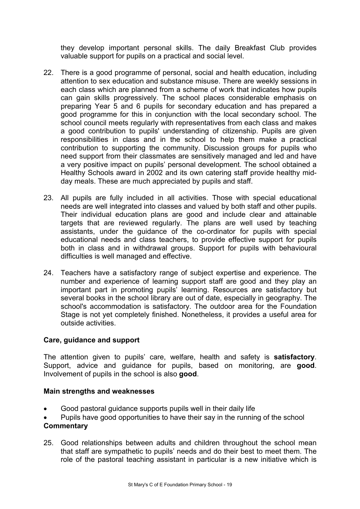they develop important personal skills. The daily Breakfast Club provides valuable support for pupils on a practical and social level.

- 22. There is a good programme of personal, social and health education, including attention to sex education and substance misuse. There are weekly sessions in each class which are planned from a scheme of work that indicates how pupils can gain skills progressively. The school places considerable emphasis on preparing Year 5 and 6 pupils for secondary education and has prepared a good programme for this in conjunction with the local secondary school. The school council meets regularly with representatives from each class and makes a good contribution to pupils' understanding of citizenship. Pupils are given responsibilities in class and in the school to help them make a practical contribution to supporting the community. Discussion groups for pupils who need support from their classmates are sensitively managed and led and have a very positive impact on pupils' personal development. The school obtained a Healthy Schools award in 2002 and its own catering staff provide healthy midday meals. These are much appreciated by pupils and staff.
- 23. All pupils are fully included in all activities. Those with special educational needs are well integrated into classes and valued by both staff and other pupils. Their individual education plans are good and include clear and attainable targets that are reviewed regularly. The plans are well used by teaching assistants, under the guidance of the co-ordinator for pupils with special educational needs and class teachers, to provide effective support for pupils both in class and in withdrawal groups. Support for pupils with behavioural difficulties is well managed and effective.
- 24. Teachers have a satisfactory range of subject expertise and experience. The number and experience of learning support staff are good and they play an important part in promoting pupils' learning. Resources are satisfactory but several books in the school library are out of date, especially in geography. The school's accommodation is satisfactory. The outdoor area for the Foundation Stage is not yet completely finished. Nonetheless, it provides a useful area for outside activities.

#### **Care, guidance and support**

The attention given to pupils' care, welfare, health and safety is **satisfactory**. Support, advice and guidance for pupils, based on monitoring, are **good**. Involvement of pupils in the school is also **good**.

#### **Main strengths and weaknesses**

- Good pastoral guidance supports pupils well in their daily life
- Pupils have good opportunities to have their say in the running of the school **Commentary**
- 25. Good relationships between adults and children throughout the school mean that staff are sympathetic to pupils' needs and do their best to meet them. The role of the pastoral teaching assistant in particular is a new initiative which is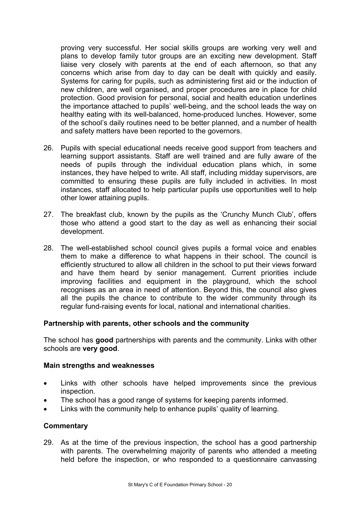proving very successful. Her social skills groups are working very well and plans to develop family tutor groups are an exciting new development. Staff liaise very closely with parents at the end of each afternoon, so that any concerns which arise from day to day can be dealt with quickly and easily. Systems for caring for pupils, such as administering first aid or the induction of new children, are well organised, and proper procedures are in place for child protection. Good provision for personal, social and health education underlines the importance attached to pupils' well-being, and the school leads the way on healthy eating with its well-balanced, home-produced lunches. However, some of the school's daily routines need to be better planned, and a number of health and safety matters have been reported to the governors.

- 26. Pupils with special educational needs receive good support from teachers and learning support assistants. Staff are well trained and are fully aware of the needs of pupils through the individual education plans which, in some instances, they have helped to write. All staff, including midday supervisors, are committed to ensuring these pupils are fully included in activities. In most instances, staff allocated to help particular pupils use opportunities well to help other lower attaining pupils.
- 27. The breakfast club, known by the pupils as the 'Crunchy Munch Club', offers those who attend a good start to the day as well as enhancing their social development.
- 28. The well-established school council gives pupils a formal voice and enables them to make a difference to what happens in their school. The council is efficiently structured to allow all children in the school to put their views forward and have them heard by senior management. Current priorities include improving facilities and equipment in the playground, which the school recognises as an area in need of attention. Beyond this, the council also gives all the pupils the chance to contribute to the wider community through its regular fund-raising events for local, national and international charities.

#### **Partnership with parents, other schools and the community**

The school has **good** partnerships with parents and the community. Links with other schools are **very good**.

#### **Main strengths and weaknesses**

- Links with other schools have helped improvements since the previous inspection.
- The school has a good range of systems for keeping parents informed.
- Links with the community help to enhance pupils' quality of learning.

#### **Commentary**

29. As at the time of the previous inspection, the school has a good partnership with parents. The overwhelming majority of parents who attended a meeting held before the inspection, or who responded to a questionnaire canvassing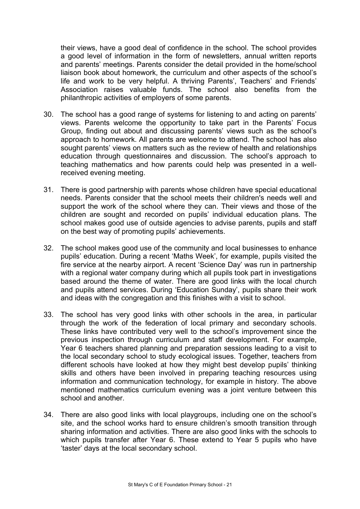their views, have a good deal of confidence in the school. The school provides a good level of information in the form of newsletters, annual written reports and parents' meetings. Parents consider the detail provided in the home/school liaison book about homework, the curriculum and other aspects of the school's life and work to be very helpful. A thriving Parents', Teachers' and Friends' Association raises valuable funds. The school also benefits from the philanthropic activities of employers of some parents.

- 30. The school has a good range of systems for listening to and acting on parents' views. Parents welcome the opportunity to take part in the Parents' Focus Group, finding out about and discussing parents' views such as the school's approach to homework. All parents are welcome to attend. The school has also sought parents' views on matters such as the review of health and relationships education through questionnaires and discussion. The school's approach to teaching mathematics and how parents could help was presented in a wellreceived evening meeting.
- 31. There is good partnership with parents whose children have special educational needs. Parents consider that the school meets their children's needs well and support the work of the school where they can. Their views and those of the children are sought and recorded on pupils' individual education plans. The school makes good use of outside agencies to advise parents, pupils and staff on the best way of promoting pupils' achievements.
- 32. The school makes good use of the community and local businesses to enhance pupils' education. During a recent 'Maths Week', for example, pupils visited the fire service at the nearby airport. A recent 'Science Day' was run in partnership with a regional water company during which all pupils took part in investigations based around the theme of water. There are good links with the local church and pupils attend services. During 'Education Sunday', pupils share their work and ideas with the congregation and this finishes with a visit to school.
- 33. The school has very good links with other schools in the area, in particular through the work of the federation of local primary and secondary schools. These links have contributed very well to the school's improvement since the previous inspection through curriculum and staff development. For example, Year 6 teachers shared planning and preparation sessions leading to a visit to the local secondary school to study ecological issues. Together, teachers from different schools have looked at how they might best develop pupils' thinking skills and others have been involved in preparing teaching resources using information and communication technology, for example in history. The above mentioned mathematics curriculum evening was a joint venture between this school and another.
- 34. There are also good links with local playgroups, including one on the school's site, and the school works hard to ensure children's smooth transition through sharing information and activities. There are also good links with the schools to which pupils transfer after Year 6. These extend to Year 5 pupils who have 'taster' days at the local secondary school.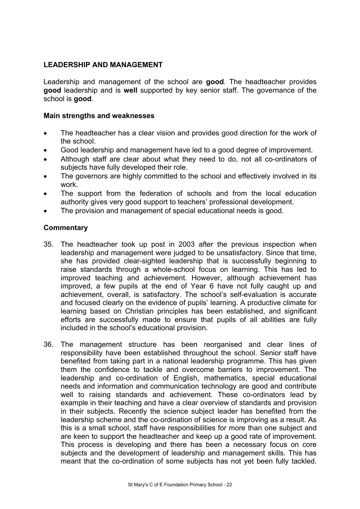## **LEADERSHIP AND MANAGEMENT**

Leadership and management of the school are **good**. The headteacher provides **good** leadership and is **well** supported by key senior staff. The governance of the school is **good**.

#### **Main strengths and weaknesses**

- The headteacher has a clear vision and provides good direction for the work of the school.
- Good leadership and management have led to a good degree of improvement.
- Although staff are clear about what they need to do, not all co-ordinators of subjects have fully developed their role.
- The governors are highly committed to the school and effectively involved in its work.
- The support from the federation of schools and from the local education authority gives very good support to teachers' professional development.
- The provision and management of special educational needs is good.

- 35. The headteacher took up post in 2003 after the previous inspection when leadership and management were judged to be unsatisfactory. Since that time, she has provided clear-sighted leadership that is successfully beginning to raise standards through a whole-school focus on learning. This has led to improved teaching and achievement. However, although achievement has improved, a few pupils at the end of Year 6 have not fully caught up and achievement, overall, is satisfactory. The school's self-evaluation is accurate and focused clearly on the evidence of pupils' learning. A productive climate for learning based on Christian principles has been established, and significant efforts are successfully made to ensure that pupils of all abilities are fully included in the school's educational provision.
- 36. The management structure has been reorganised and clear lines of responsibility have been established throughout the school. Senior staff have benefited from taking part in a national leadership programme. This has given them the confidence to tackle and overcome barriers to improvement. The leadership and co-ordination of English, mathematics, special educational needs and information and communication technology are good and contribute well to raising standards and achievement. These co-ordinators lead by example in their teaching and have a clear overview of standards and provision in their subjects. Recently the science subject leader has benefited from the leadership scheme and the co-ordination of science is improving as a result. As this is a small school, staff have responsibilities for more than one subject and are keen to support the headteacher and keep up a good rate of improvement. This process is developing and there has been a necessary focus on core subjects and the development of leadership and management skills. This has meant that the co-ordination of some subjects has not yet been fully tackled.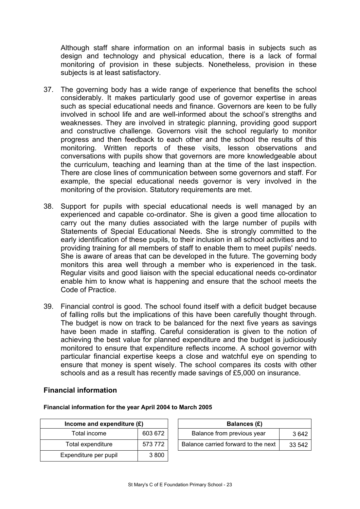Although staff share information on an informal basis in subjects such as design and technology and physical education, there is a lack of formal monitoring of provision in these subjects. Nonetheless, provision in these subjects is at least satisfactory.

- 37. The governing body has a wide range of experience that benefits the school considerably. It makes particularly good use of governor expertise in areas such as special educational needs and finance. Governors are keen to be fully involved in school life and are well-informed about the school's strengths and weaknesses. They are involved in strategic planning, providing good support and constructive challenge. Governors visit the school regularly to monitor progress and then feedback to each other and the school the results of this monitoring. Written reports of these visits, lesson observations and conversations with pupils show that governors are more knowledgeable about the curriculum, teaching and learning than at the time of the last inspection. There are close lines of communication between some governors and staff. For example, the special educational needs governor is very involved in the monitoring of the provision. Statutory requirements are met.
- 38. Support for pupils with special educational needs is well managed by an experienced and capable co-ordinator. She is given a good time allocation to carry out the many duties associated with the large number of pupils with Statements of Special Educational Needs. She is strongly committed to the early identification of these pupils, to their inclusion in all school activities and to providing training for all members of staff to enable them to meet pupils' needs. She is aware of areas that can be developed in the future. The governing body monitors this area well through a member who is experienced in the task. Regular visits and good liaison with the special educational needs co-ordinator enable him to know what is happening and ensure that the school meets the Code of Practice.
- 39. Financial control is good. The school found itself with a deficit budget because of falling rolls but the implications of this have been carefully thought through. The budget is now on track to be balanced for the next five years as savings have been made in staffing. Careful consideration is given to the notion of achieving the best value for planned expenditure and the budget is judiciously monitored to ensure that expenditure reflects income. A school governor with particular financial expertise keeps a close and watchful eye on spending to ensure that money is spent wisely. The school compares its costs with other schools and as a result has recently made savings of £5,000 on insurance.

#### **Financial information**

**Financial information for the year April 2004 to March 2005** 

| Income and expenditure $(E)$ |         | Balances (£)                        |        |
|------------------------------|---------|-------------------------------------|--------|
| Total income                 | 603 672 | Balance from previous year          | 3642   |
| Total expenditure            | 573 772 | Balance carried forward to the next | 33 542 |
| Expenditure per pupil        | 3800    |                                     |        |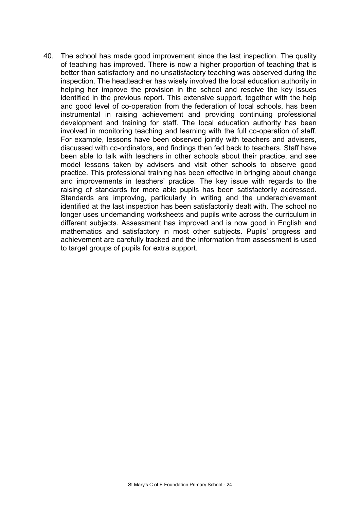40. The school has made good improvement since the last inspection. The quality of teaching has improved. There is now a higher proportion of teaching that is better than satisfactory and no unsatisfactory teaching was observed during the inspection. The headteacher has wisely involved the local education authority in helping her improve the provision in the school and resolve the key issues identified in the previous report. This extensive support, together with the help and good level of co-operation from the federation of local schools, has been instrumental in raising achievement and providing continuing professional development and training for staff. The local education authority has been involved in monitoring teaching and learning with the full co-operation of staff. For example, lessons have been observed jointly with teachers and advisers, discussed with co-ordinators, and findings then fed back to teachers. Staff have been able to talk with teachers in other schools about their practice, and see model lessons taken by advisers and visit other schools to observe good practice. This professional training has been effective in bringing about change and improvements in teachers' practice. The key issue with regards to the raising of standards for more able pupils has been satisfactorily addressed. Standards are improving, particularly in writing and the underachievement identified at the last inspection has been satisfactorily dealt with. The school no longer uses undemanding worksheets and pupils write across the curriculum in different subjects. Assessment has improved and is now good in English and mathematics and satisfactory in most other subjects. Pupils' progress and achievement are carefully tracked and the information from assessment is used to target groups of pupils for extra support.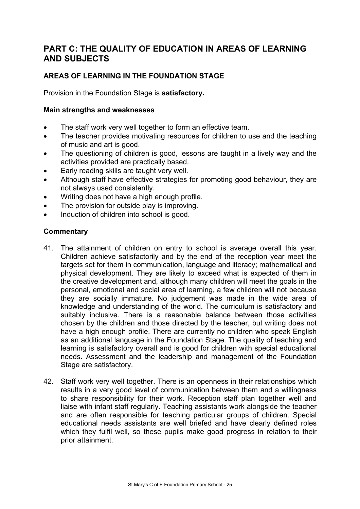# **PART C: THE QUALITY OF EDUCATION IN AREAS OF LEARNING AND SUBJECTS**

# **AREAS OF LEARNING IN THE FOUNDATION STAGE**

Provision in the Foundation Stage is **satisfactory.**

#### **Main strengths and weaknesses**

- The staff work very well together to form an effective team.
- The teacher provides motivating resources for children to use and the teaching of music and art is good.
- The questioning of children is good, lessons are taught in a lively way and the activities provided are practically based.
- Early reading skills are taught very well.
- Although staff have effective strategies for promoting good behaviour, they are not always used consistently.
- Writing does not have a high enough profile.
- The provision for outside play is improving.
- Induction of children into school is good.

- 41. The attainment of children on entry to school is average overall this year. Children achieve satisfactorily and by the end of the reception year meet the targets set for them in communication, language and literacy; mathematical and physical development. They are likely to exceed what is expected of them in the creative development and, although many children will meet the goals in the personal, emotional and social area of learning, a few children will not because they are socially immature. No judgement was made in the wide area of knowledge and understanding of the world. The curriculum is satisfactory and suitably inclusive. There is a reasonable balance between those activities chosen by the children and those directed by the teacher, but writing does not have a high enough profile. There are currently no children who speak English as an additional language in the Foundation Stage. The quality of teaching and learning is satisfactory overall and is good for children with special educational needs. Assessment and the leadership and management of the Foundation Stage are satisfactory.
- 42. Staff work very well together. There is an openness in their relationships which results in a very good level of communication between them and a willingness to share responsibility for their work. Reception staff plan together well and liaise with infant staff regularly. Teaching assistants work alongside the teacher and are often responsible for teaching particular groups of children. Special educational needs assistants are well briefed and have clearly defined roles which they fulfil well, so these pupils make good progress in relation to their prior attainment.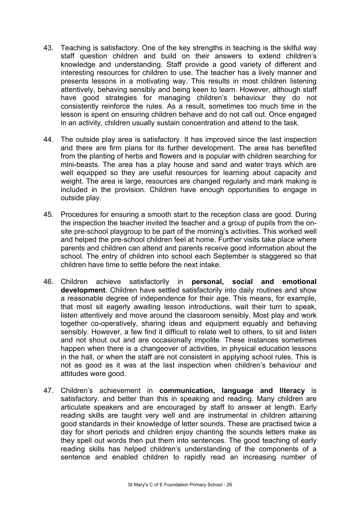- 43. Teaching is satisfactory. One of the key strengths in teaching is the skilful way staff question children and build on their answers to extend children's knowledge and understanding. Staff provide a good variety of different and interesting resources for children to use. The teacher has a lively manner and presents lessons in a motivating way. This results in most children listening attentively, behaving sensibly and being keen to learn. However, although staff have good strategies for managing children's behaviour they do not consistently reinforce the rules. As a result, sometimes too much time in the lesson is spent on ensuring children behave and do not call out. Once engaged in an activity, children usually sustain concentration and attend to the task.
- 44. The outside play area is satisfactory. It has improved since the last inspection and there are firm plans for its further development. The area has benefited from the planting of herbs and flowers and is popular with children searching for mini-beasts. The area has a play house and sand and water trays which are well equipped so they are useful resources for learning about capacity and weight. The area is large, resources are changed regularly and mark making is included in the provision. Children have enough opportunities to engage in outside play.
- 45. Procedures for ensuring a smooth start to the reception class are good. During the inspection the teacher invited the teacher and a group of pupils from the onsite pre-school playgroup to be part of the morning's activities. This worked well and helped the pre-school children feel at home. Further visits take place where parents and children can attend and parents receive good information about the school. The entry of children into school each September is staggered so that children have time to settle before the next intake.
- 46. Children achieve satisfactorily in **personal, social and emotional development**. Children have settled satisfactorily into daily routines and show a reasonable degree of independence for their age. This means, for example, that most sit eagerly awaiting lesson introductions, wait their turn to speak, listen attentively and move around the classroom sensibly. Most play and work together co-operatively, sharing ideas and equipment equably and behaving sensibly. However, a few find it difficult to relate well to others, to sit and listen and not shout out and are occasionally impolite. These instances sometimes happen when there is a changeover of activities, in physical education lessons in the hall, or when the staff are not consistent in applying school rules. This is not as good as it was at the last inspection when children's behaviour and attitudes were good.
- 47. Children's achievement in **communication, language and literacy** is satisfactory. and better than this in speaking and reading. Many children are articulate speakers and are encouraged by staff to answer at length. Early reading skills are taught very well and are instrumental in children attaining good standards in their knowledge of letter sounds. These are practised twice a day for short periods and children enjoy chanting the sounds letters make as they spell out words then put them into sentences. The good teaching of early reading skills has helped children's understanding of the components of a sentence and enabled children to rapidly read an increasing number of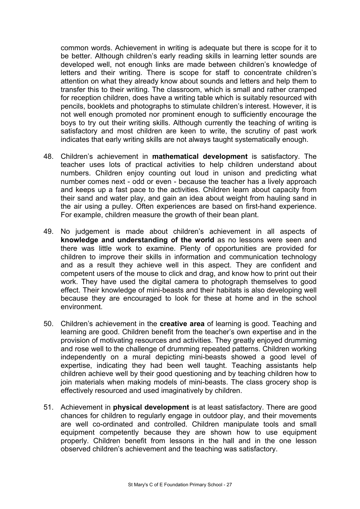common words. Achievement in writing is adequate but there is scope for it to be better. Although children's early reading skills in learning letter sounds are developed well, not enough links are made between children's knowledge of letters and their writing. There is scope for staff to concentrate children's attention on what they already know about sounds and letters and help them to transfer this to their writing. The classroom, which is small and rather cramped for reception children, does have a writing table which is suitably resourced with pencils, booklets and photographs to stimulate children's interest. However, it is not well enough promoted nor prominent enough to sufficiently encourage the boys to try out their writing skills. Although currently the teaching of writing is satisfactory and most children are keen to write, the scrutiny of past work indicates that early writing skills are not always taught systematically enough.

- 48. Children's achievement in **mathematical development** is satisfactory. The teacher uses lots of practical activities to help children understand about numbers. Children enjoy counting out loud in unison and predicting what number comes next - odd or even - because the teacher has a lively approach and keeps up a fast pace to the activities. Children learn about capacity from their sand and water play, and gain an idea about weight from hauling sand in the air using a pulley. Often experiences are based on first-hand experience. For example, children measure the growth of their bean plant.
- 49. No judgement is made about children's achievement in all aspects of **knowledge and understanding of the world** as no lessons were seen and there was little work to examine. Plenty of opportunities are provided for children to improve their skills in information and communication technology and as a result they achieve well in this aspect. They are confident and competent users of the mouse to click and drag, and know how to print out their work. They have used the digital camera to photograph themselves to good effect. Their knowledge of mini-beasts and their habitats is also developing well because they are encouraged to look for these at home and in the school environment.
- 50. Children's achievement in the **creative area** of learning is good. Teaching and learning are good. Children benefit from the teacher's own expertise and in the provision of motivating resources and activities. They greatly enjoyed drumming and rose well to the challenge of drumming repeated patterns. Children working independently on a mural depicting mini-beasts showed a good level of expertise, indicating they had been well taught. Teaching assistants help children achieve well by their good questioning and by teaching children how to join materials when making models of mini-beasts. The class grocery shop is effectively resourced and used imaginatively by children.
- 51. Achievement in **physical development** is at least satisfactory. There are good chances for children to regularly engage in outdoor play, and their movements are well co-ordinated and controlled. Children manipulate tools and small equipment competently because they are shown how to use equipment properly. Children benefit from lessons in the hall and in the one lesson observed children's achievement and the teaching was satisfactory.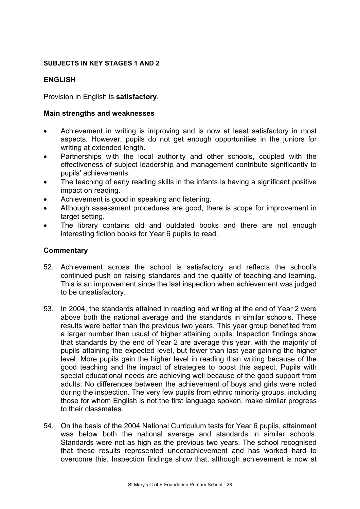#### **SUBJECTS IN KEY STAGES 1 AND 2**

#### **ENGLISH**

Provision in English is **satisfactory**.

#### **Main strengths and weaknesses**

- Achievement in writing is improving and is now at least satisfactory in most aspects. However, pupils do not get enough opportunities in the juniors for writing at extended length.
- Partnerships with the local authority and other schools, coupled with the effectiveness of subject leadership and management contribute significantly to pupils' achievements.
- The teaching of early reading skills in the infants is having a significant positive impact on reading.
- Achievement is good in speaking and listening.
- Although assessment procedures are good, there is scope for improvement in target setting.
- The library contains old and outdated books and there are not enough interesting fiction books for Year 6 pupils to read.

- 52. Achievement across the school is satisfactory and reflects the school's continued push on raising standards and the quality of teaching and learning. This is an improvement since the last inspection when achievement was judged to be unsatisfactory.
- 53. In 2004, the standards attained in reading and writing at the end of Year 2 were above both the national average and the standards in similar schools. These results were better than the previous two years. This year group benefited from a larger number than usual of higher attaining pupils. Inspection findings show that standards by the end of Year 2 are average this year, with the majority of pupils attaining the expected level, but fewer than last year gaining the higher level. More pupils gain the higher level in reading than writing because of the good teaching and the impact of strategies to boost this aspect. Pupils with special educational needs are achieving well because of the good support from adults. No differences between the achievement of boys and girls were noted during the inspection. The very few pupils from ethnic minority groups, including those for whom English is not the first language spoken, make similar progress to their classmates.
- 54. On the basis of the 2004 National Curriculum tests for Year 6 pupils, attainment was below both the national average and standards in similar schools. Standards were not as high as the previous two years. The school recognised that these results represented underachievement and has worked hard to overcome this. Inspection findings show that, although achievement is now at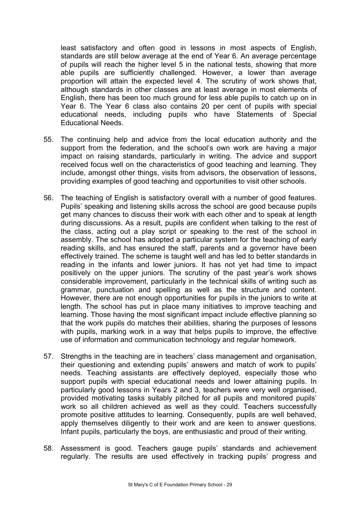least satisfactory and often good in lessons in most aspects of English, standards are still below average at the end of Year 6. An average percentage of pupils will reach the higher level 5 in the national tests, showing that more able pupils are sufficiently challenged. However, a lower than average proportion will attain the expected level 4. The scrutiny of work shows that, although standards in other classes are at least average in most elements of English, there has been too much ground for less able pupils to catch up on in Year 6. The Year 6 class also contains 20 per cent of pupils with special educational needs, including pupils who have Statements of Special Educational Needs.

- 55. The continuing help and advice from the local education authority and the support from the federation, and the school's own work are having a major impact on raising standards, particularly in writing. The advice and support received focus well on the characteristics of good teaching and learning. They include, amongst other things, visits from advisors, the observation of lessons, providing examples of good teaching and opportunities to visit other schools.
- 56. The teaching of English is satisfactory overall with a number of good features. Pupils' speaking and listening skills across the school are good because pupils get many chances to discuss their work with each other and to speak at length during discussions. As a result, pupils are confident when talking to the rest of the class, acting out a play script or speaking to the rest of the school in assembly. The school has adopted a particular system for the teaching of early reading skills, and has ensured the staff, parents and a governor have been effectively trained. The scheme is taught well and has led to better standards in reading in the infants and lower juniors. It has not yet had time to impact positively on the upper juniors. The scrutiny of the past year's work shows considerable improvement, particularly in the technical skills of writing such as grammar, punctuation and spelling as well as the structure and content. However, there are not enough opportunities for pupils in the juniors to write at length. The school has put in place many initiatives to improve teaching and learning. Those having the most significant impact include effective planning so that the work pupils do matches their abilities, sharing the purposes of lessons with pupils, marking work in a way that helps pupils to improve, the effective use of information and communication technology and regular homework.
- 57. Strengths in the teaching are in teachers' class management and organisation, their questioning and extending pupils' answers and match of work to pupils' needs. Teaching assistants are effectively deployed, especially those who support pupils with special educational needs and lower attaining pupils. In particularly good lessons in Years 2 and 3, teachers were very well organised, provided motivating tasks suitably pitched for all pupils and monitored pupils' work so all children achieved as well as they could. Teachers successfully promote positive attitudes to learning. Consequently, pupils are well behaved, apply themselves diligently to their work and are keen to answer questions. Infant pupils, particularly the boys, are enthusiastic and proud of their writing.
- 58. Assessment is good. Teachers gauge pupils' standards and achievement regularly. The results are used effectively in tracking pupils' progress and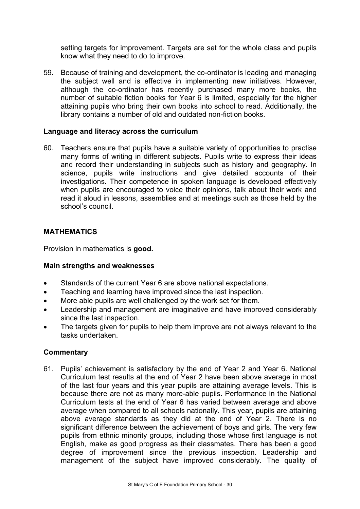setting targets for improvement. Targets are set for the whole class and pupils know what they need to do to improve.

59. Because of training and development, the co-ordinator is leading and managing the subject well and is effective in implementing new initiatives. However, although the co-ordinator has recently purchased many more books, the number of suitable fiction books for Year 6 is limited, especially for the higher attaining pupils who bring their own books into school to read. Additionally, the library contains a number of old and outdated non-fiction books.

#### **Language and literacy across the curriculum**

60. Teachers ensure that pupils have a suitable variety of opportunities to practise many forms of writing in different subjects. Pupils write to express their ideas and record their understanding in subjects such as history and geography. In science, pupils write instructions and give detailed accounts of their investigations. Their competence in spoken language is developed effectively when pupils are encouraged to voice their opinions, talk about their work and read it aloud in lessons, assemblies and at meetings such as those held by the school's council.

#### **MATHEMATICS**

Provision in mathematics is **good.**

#### **Main strengths and weaknesses**

- Standards of the current Year 6 are above national expectations.
- Teaching and learning have improved since the last inspection.
- More able pupils are well challenged by the work set for them.
- Leadership and management are imaginative and have improved considerably since the last inspection.
- The targets given for pupils to help them improve are not always relevant to the tasks undertaken.

#### **Commentary**

61. Pupils' achievement is satisfactory by the end of Year 2 and Year 6. National Curriculum test results at the end of Year 2 have been above average in most of the last four years and this year pupils are attaining average levels. This is because there are not as many more-able pupils. Performance in the National Curriculum tests at the end of Year 6 has varied between average and above average when compared to all schools nationally. This year, pupils are attaining above average standards as they did at the end of Year 2. There is no significant difference between the achievement of boys and girls. The very few pupils from ethnic minority groups, including those whose first language is not English, make as good progress as their classmates. There has been a good degree of improvement since the previous inspection. Leadership and management of the subject have improved considerably. The quality of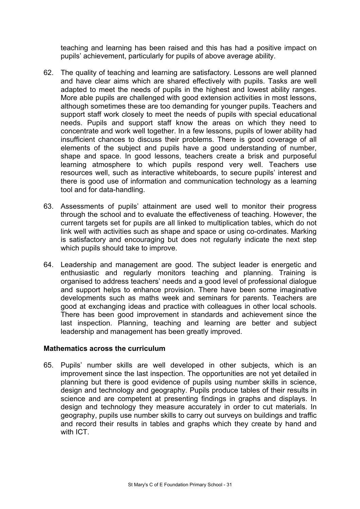teaching and learning has been raised and this has had a positive impact on pupils' achievement, particularly for pupils of above average ability.

- 62. The quality of teaching and learning are satisfactory. Lessons are well planned and have clear aims which are shared effectively with pupils. Tasks are well adapted to meet the needs of pupils in the highest and lowest ability ranges. More able pupils are challenged with good extension activities in most lessons, although sometimes these are too demanding for younger pupils. Teachers and support staff work closely to meet the needs of pupils with special educational needs. Pupils and support staff know the areas on which they need to concentrate and work well together. In a few lessons, pupils of lower ability had insufficient chances to discuss their problems. There is good coverage of all elements of the subject and pupils have a good understanding of number, shape and space. In good lessons, teachers create a brisk and purposeful learning atmosphere to which pupils respond very well. Teachers use resources well, such as interactive whiteboards, to secure pupils' interest and there is good use of information and communication technology as a learning tool and for data-handling.
- 63. Assessments of pupils' attainment are used well to monitor their progress through the school and to evaluate the effectiveness of teaching. However, the current targets set for pupils are all linked to multiplication tables, which do not link well with activities such as shape and space or using co-ordinates. Marking is satisfactory and encouraging but does not regularly indicate the next step which pupils should take to improve.
- 64. Leadership and management are good. The subject leader is energetic and enthusiastic and regularly monitors teaching and planning. Training is organised to address teachers' needs and a good level of professional dialogue and support helps to enhance provision. There have been some imaginative developments such as maths week and seminars for parents. Teachers are good at exchanging ideas and practice with colleagues in other local schools. There has been good improvement in standards and achievement since the last inspection. Planning, teaching and learning are better and subject leadership and management has been greatly improved.

#### **Mathematics across the curriculum**

65. Pupils' number skills are well developed in other subjects, which is an improvement since the last inspection. The opportunities are not yet detailed in planning but there is good evidence of pupils using number skills in science, design and technology and geography. Pupils produce tables of their results in science and are competent at presenting findings in graphs and displays. In design and technology they measure accurately in order to cut materials. In geography, pupils use number skills to carry out surveys on buildings and traffic and record their results in tables and graphs which they create by hand and with ICT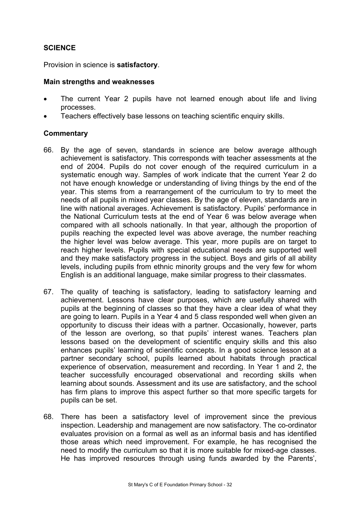## **SCIENCE**

Provision in science is **satisfactory**.

#### **Main strengths and weaknesses**

- The current Year 2 pupils have not learned enough about life and living processes.
- Teachers effectively base lessons on teaching scientific enquiry skills.

- 66. By the age of seven, standards in science are below average although achievement is satisfactory. This corresponds with teacher assessments at the end of 2004. Pupils do not cover enough of the required curriculum in a systematic enough way. Samples of work indicate that the current Year 2 do not have enough knowledge or understanding of living things by the end of the year. This stems from a rearrangement of the curriculum to try to meet the needs of all pupils in mixed year classes. By the age of eleven, standards are in line with national averages. Achievement is satisfactory. Pupils' performance in the National Curriculum tests at the end of Year 6 was below average when compared with all schools nationally. In that year, although the proportion of pupils reaching the expected level was above average, the number reaching the higher level was below average. This year, more pupils are on target to reach higher levels. Pupils with special educational needs are supported well and they make satisfactory progress in the subject. Boys and girls of all ability levels, including pupils from ethnic minority groups and the very few for whom English is an additional language, make similar progress to their classmates.
- 67. The quality of teaching is satisfactory, leading to satisfactory learning and achievement. Lessons have clear purposes, which are usefully shared with pupils at the beginning of classes so that they have a clear idea of what they are going to learn. Pupils in a Year 4 and 5 class responded well when given an opportunity to discuss their ideas with a partner. Occasionally, however, parts of the lesson are overlong, so that pupils' interest wanes. Teachers plan lessons based on the development of scientific enquiry skills and this also enhances pupils' learning of scientific concepts. In a good science lesson at a partner secondary school, pupils learned about habitats through practical experience of observation, measurement and recording. In Year 1 and 2, the teacher successfully encouraged observational and recording skills when learning about sounds. Assessment and its use are satisfactory, and the school has firm plans to improve this aspect further so that more specific targets for pupils can be set.
- 68. There has been a satisfactory level of improvement since the previous inspection. Leadership and management are now satisfactory. The co-ordinator evaluates provision on a formal as well as an informal basis and has identified those areas which need improvement. For example, he has recognised the need to modify the curriculum so that it is more suitable for mixed-age classes. He has improved resources through using funds awarded by the Parents',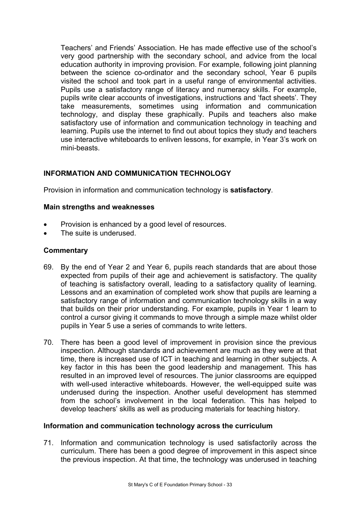Teachers' and Friends' Association. He has made effective use of the school's very good partnership with the secondary school, and advice from the local education authority in improving provision. For example, following joint planning between the science co-ordinator and the secondary school, Year 6 pupils visited the school and took part in a useful range of environmental activities. Pupils use a satisfactory range of literacy and numeracy skills. For example, pupils write clear accounts of investigations, instructions and 'fact sheets'. They take measurements, sometimes using information and communication technology, and display these graphically. Pupils and teachers also make satisfactory use of information and communication technology in teaching and learning. Pupils use the internet to find out about topics they study and teachers use interactive whiteboards to enliven lessons, for example, in Year 3's work on mini-beasts.

# **INFORMATION AND COMMUNICATION TECHNOLOGY**

Provision in information and communication technology is **satisfactory**.

#### **Main strengths and weaknesses**

- Provision is enhanced by a good level of resources.
- The suite is underused.

#### **Commentary**

- 69. By the end of Year 2 and Year 6, pupils reach standards that are about those expected from pupils of their age and achievement is satisfactory. The quality of teaching is satisfactory overall, leading to a satisfactory quality of learning. Lessons and an examination of completed work show that pupils are learning a satisfactory range of information and communication technology skills in a way that builds on their prior understanding. For example, pupils in Year 1 learn to control a cursor giving it commands to move through a simple maze whilst older pupils in Year 5 use a series of commands to write letters.
- 70. There has been a good level of improvement in provision since the previous inspection. Although standards and achievement are much as they were at that time, there is increased use of ICT in teaching and learning in other subjects. A key factor in this has been the good leadership and management. This has resulted in an improved level of resources. The junior classrooms are equipped with well-used interactive whiteboards. However, the well-equipped suite was underused during the inspection. Another useful development has stemmed from the school's involvement in the local federation. This has helped to develop teachers' skills as well as producing materials for teaching history.

#### **Information and communication technology across the curriculum**

71. Information and communication technology is used satisfactorily across the curriculum. There has been a good degree of improvement in this aspect since the previous inspection. At that time, the technology was underused in teaching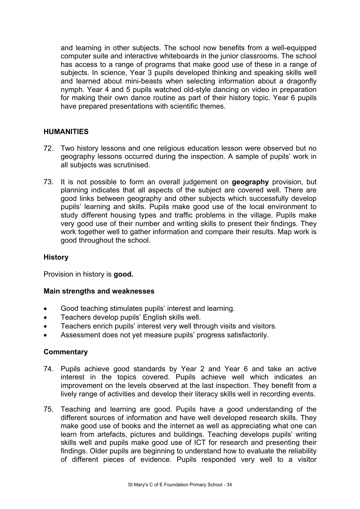and learning in other subjects. The school now benefits from a well-equipped computer suite and interactive whiteboards in the junior classrooms. The school has access to a range of programs that make good use of these in a range of subjects. In science, Year 3 pupils developed thinking and speaking skills well and learned about mini-beasts when selecting information about a dragonfly nymph. Year 4 and 5 pupils watched old-style dancing on video in preparation for making their own dance routine as part of their history topic. Year 6 pupils have prepared presentations with scientific themes.

# **HUMANITIES**

- 72. Two history lessons and one religious education lesson were observed but no geography lessons occurred during the inspection. A sample of pupils' work in all subjects was scrutinised.
- 73. It is not possible to form an overall judgement on **geography** provision, but planning indicates that all aspects of the subject are covered well. There are good links between geography and other subjects which successfully develop pupils' learning and skills. Pupils make good use of the local environment to study different housing types and traffic problems in the village. Pupils make very good use of their number and writing skills to present their findings. They work together well to gather information and compare their results. Map work is good throughout the school.

#### **History**

Provision in history is **good.** 

#### **Main strengths and weaknesses**

- Good teaching stimulates pupils' interest and learning.
- Teachers develop pupils' English skills well.
- Teachers enrich pupils' interest very well through visits and visitors.
- Assessment does not yet measure pupils' progress satisfactorily.

- 74. Pupils achieve good standards by Year 2 and Year 6 and take an active interest in the topics covered. Pupils achieve well which indicates an improvement on the levels observed at the last inspection. They benefit from a lively range of activities and develop their literacy skills well in recording events.
- 75. Teaching and learning are good. Pupils have a good understanding of the different sources of information and have well developed research skills. They make good use of books and the internet as well as appreciating what one can learn from artefacts, pictures and buildings. Teaching develops pupils' writing skills well and pupils make good use of ICT for research and presenting their findings. Older pupils are beginning to understand how to evaluate the reliability of different pieces of evidence. Pupils responded very well to a visitor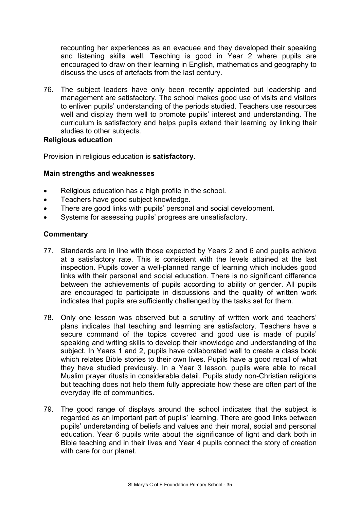recounting her experiences as an evacuee and they developed their speaking and listening skills well. Teaching is good in Year 2 where pupils are encouraged to draw on their learning in English, mathematics and geography to discuss the uses of artefacts from the last century.

76. The subject leaders have only been recently appointed but leadership and management are satisfactory. The school makes good use of visits and visitors to enliven pupils' understanding of the periods studied. Teachers use resources well and display them well to promote pupils' interest and understanding. The curriculum is satisfactory and helps pupils extend their learning by linking their studies to other subjects.

#### **Religious education**

Provision in religious education is **satisfactory**.

#### **Main strengths and weaknesses**

- Religious education has a high profile in the school.
- Teachers have good subject knowledge.
- There are good links with pupils' personal and social development.
- Systems for assessing pupils' progress are unsatisfactory.

- 77. Standards are in line with those expected by Years 2 and 6 and pupils achieve at a satisfactory rate. This is consistent with the levels attained at the last inspection. Pupils cover a well-planned range of learning which includes good links with their personal and social education. There is no significant difference between the achievements of pupils according to ability or gender. All pupils are encouraged to participate in discussions and the quality of written work indicates that pupils are sufficiently challenged by the tasks set for them.
- 78. Only one lesson was observed but a scrutiny of written work and teachers' plans indicates that teaching and learning are satisfactory. Teachers have a secure command of the topics covered and good use is made of pupils' speaking and writing skills to develop their knowledge and understanding of the subject. In Years 1 and 2, pupils have collaborated well to create a class book which relates Bible stories to their own lives. Pupils have a good recall of what they have studied previously. In a Year 3 lesson, pupils were able to recall Muslim prayer rituals in considerable detail. Pupils study non-Christian religions but teaching does not help them fully appreciate how these are often part of the everyday life of communities.
- 79. The good range of displays around the school indicates that the subject is regarded as an important part of pupils' learning. There are good links between pupils' understanding of beliefs and values and their moral, social and personal education. Year 6 pupils write about the significance of light and dark both in Bible teaching and in their lives and Year 4 pupils connect the story of creation with care for our planet.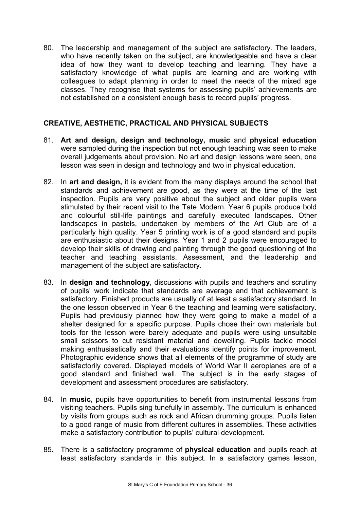80. The leadership and management of the subject are satisfactory. The leaders, who have recently taken on the subject, are knowledgeable and have a clear idea of how they want to develop teaching and learning. They have a satisfactory knowledge of what pupils are learning and are working with colleagues to adapt planning in order to meet the needs of the mixed age classes. They recognise that systems for assessing pupils' achievements are not established on a consistent enough basis to record pupils' progress.

## **CREATIVE, AESTHETIC, PRACTICAL AND PHYSICAL SUBJECTS**

- 81. **Art and design, design and technology, music** and **physical education** were sampled during the inspection but not enough teaching was seen to make overall judgements about provision. No art and design lessons were seen, one lesson was seen in design and technology and two in physical education.
- 82. In **art and design,** it is evident from the many displays around the school that standards and achievement are good, as they were at the time of the last inspection. Pupils are very positive about the subject and older pupils were stimulated by their recent visit to the Tate Modern. Year 6 pupils produce bold and colourful still-life paintings and carefully executed landscapes. Other landscapes in pastels, undertaken by members of the Art Club are of a particularly high quality. Year 5 printing work is of a good standard and pupils are enthusiastic about their designs. Year 1 and 2 pupils were encouraged to develop their skills of drawing and painting through the good questioning of the teacher and teaching assistants. Assessment, and the leadership and management of the subject are satisfactory.
- 83. In **design and technology**, discussions with pupils and teachers and scrutiny of pupils' work indicate that standards are average and that achievement is satisfactory. Finished products are usually of at least a satisfactory standard. In the one lesson observed in Year 6 the teaching and learning were satisfactory. Pupils had previously planned how they were going to make a model of a shelter designed for a specific purpose. Pupils chose their own materials but tools for the lesson were barely adequate and pupils were using unsuitable small scissors to cut resistant material and dowelling. Pupils tackle model making enthusiastically and their evaluations identify points for improvement. Photographic evidence shows that all elements of the programme of study are satisfactorily covered. Displayed models of World War II aeroplanes are of a good standard and finished well. The subject is in the early stages of development and assessment procedures are satisfactory.
- 84. In **music**, pupils have opportunities to benefit from instrumental lessons from visiting teachers. Pupils sing tunefully in assembly. The curriculum is enhanced by visits from groups such as rock and African drumming groups. Pupils listen to a good range of music from different cultures in assemblies. These activities make a satisfactory contribution to pupils' cultural development.
- 85. There is a satisfactory programme of **physical education** and pupils reach at least satisfactory standards in this subject. In a satisfactory games lesson,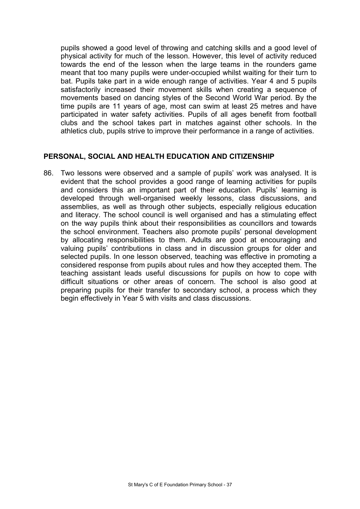pupils showed a good level of throwing and catching skills and a good level of physical activity for much of the lesson. However, this level of activity reduced towards the end of the lesson when the large teams in the rounders game meant that too many pupils were under-occupied whilst waiting for their turn to bat. Pupils take part in a wide enough range of activities. Year 4 and 5 pupils satisfactorily increased their movement skills when creating a sequence of movements based on dancing styles of the Second World War period. By the time pupils are 11 years of age, most can swim at least 25 metres and have participated in water safety activities. Pupils of all ages benefit from football clubs and the school takes part in matches against other schools. In the athletics club, pupils strive to improve their performance in a range of activities.

#### **PERSONAL, SOCIAL AND HEALTH EDUCATION AND CITIZENSHIP**

86. Two lessons were observed and a sample of pupils' work was analysed. It is evident that the school provides a good range of learning activities for pupils and considers this an important part of their education. Pupils' learning is developed through well-organised weekly lessons, class discussions, and assemblies, as well as through other subjects, especially religious education and literacy. The school council is well organised and has a stimulating effect on the way pupils think about their responsibilities as councillors and towards the school environment. Teachers also promote pupils' personal development by allocating responsibilities to them. Adults are good at encouraging and valuing pupils' contributions in class and in discussion groups for older and selected pupils. In one lesson observed, teaching was effective in promoting a considered response from pupils about rules and how they accepted them. The teaching assistant leads useful discussions for pupils on how to cope with difficult situations or other areas of concern. The school is also good at preparing pupils for their transfer to secondary school, a process which they begin effectively in Year 5 with visits and class discussions.